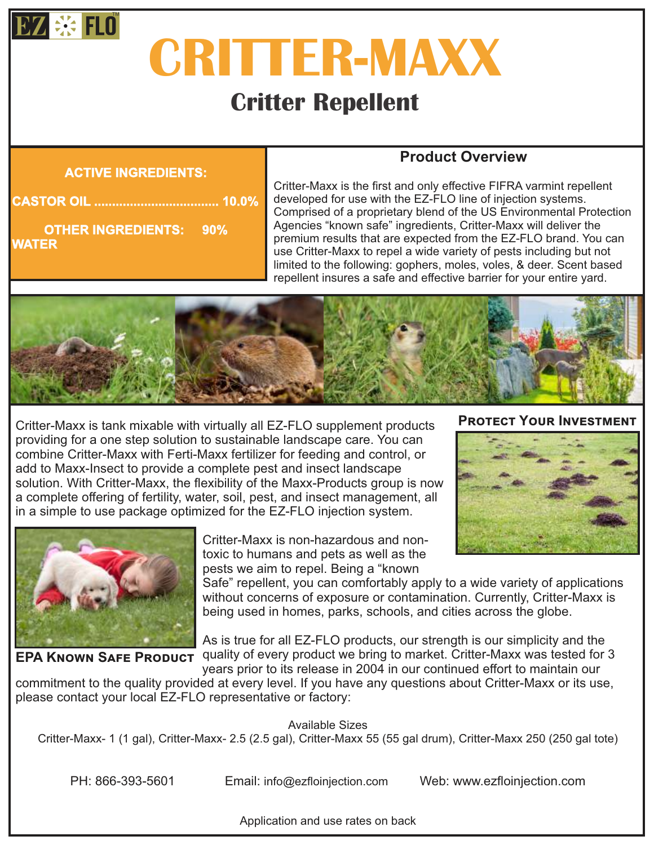

# **CRITTER-MAXX**

# **Critter Repellent**

#### **ACTIVE INGREDIENTS:**

# **CASTOR OIL ................................... 10.0%**

**WATER OTHER INGREDIENTS: 90%**

## **Product Overview**

Critter-Maxx is the first and only effective FIFRA varmint repellent developed for use with the EZ-FLO line of injection systems. Comprised of a proprietary blend of the US Environmental Protection Agencies "known safe" ingredients, Critter-Maxx will deliver the premium results that are expected from the EZ-FLO brand. You can use Critter-Maxx to repel a wide variety of pests including but not limited to the following: gophers, moles, voles, & deer. Scent based repellent insures a safe and effective barrier for your entire yard.



Critter-Maxx is tank mixable with virtually all EZ-FLO supplement products providing for a one step solution to sustainable landscape care. You can combine Critter-Maxx with Ferti-Maxx fertilizer for feeding and control, or add to Maxx-Insect to provide a complete pest and insect landscape solution. With Critter-Maxx, the flexibility of the Maxx-Products group is now a complete offering of fertility, water, soil, pest, and insect management, all in a simple to use package optimized for the EZ-FLO injection system.





Critter-Maxx is non-hazardous and nontoxic to humans and pets as well as the pests we aim to repel. Being a "known

Safe" repellent, you can comfortably apply to a wide variety of applications without concerns of exposure or contamination. Currently, Critter-Maxx is being used in homes, parks, schools, and cities across the globe.

As is true for all EZ-FLO products, our strength is our simplicity and the **EPA KNOWN SAFE PRODUCT** quality of every product we bring to market. Critter-Maxx was tested for 3 years prior to its release in 2004 in our continued effort to maintain our

commitment to the quality provided at every level. If you have any questions about Critter-Maxx or its use, please contact your local EZ-FLO representative or factory:

Available Sizes

Critter-Maxx- 1 (1 gal), Critter-Maxx- 2.5 (2.5 gal), Critter-Maxx 55 (55 gal drum), Critter-Maxx 250 (250 gal tote)

PH: 866-393-5601 Email: info@ezfloinjection.com Web: www.ezfloinjection.com

Application and use rates on back